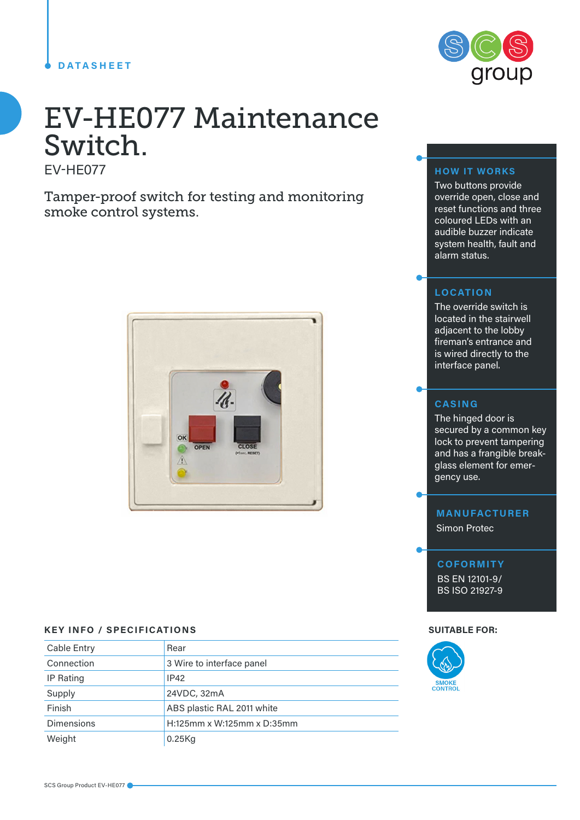### **DATASHEET**



# EV-HE077 Maintenance Switch. EV-HE077

Tamper-proof switch for testing and monitoring smoke control systems.



# **KEY INFO / SPECIFICATIONS SUITABLE FOR:**

| Cable Entry       | Rear                       |  |
|-------------------|----------------------------|--|
| Connection        | 3 Wire to interface panel  |  |
| IP Rating         | IP42                       |  |
| Supply            | 24VDC, 32mA                |  |
| Finish            | ABS plastic RAL 2011 white |  |
| <b>Dimensions</b> | H:125mm x W:125mm x D:35mm |  |
| Weight            | $0.25$ Kg                  |  |

# **HOW IT WORKS**

Two buttons provide override open, close and reset functions and three coloured LEDs with an audible buzzer indicate system health, fault and alarm status.

#### **LOCATION**

The override switch is located in the stairwell adjacent to the lobby fireman's entrance and is wired directly to the interface panel.

# **CASING**

The hinged door is secured by a common key lock to prevent tampering and has a frangible breakglass element for emergency use.

### **MANUFACTURER**

Simon Protec

#### **COFORMITY**

BS EN 12101-9/ BS ISO 21927-9